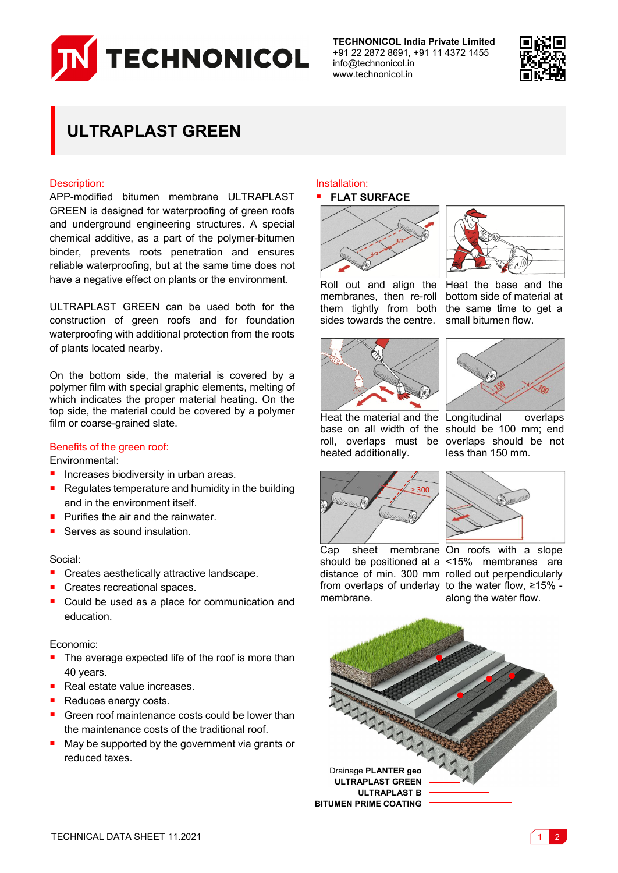

**TECHNONICOL India Private Limited** +91 22 2872 8691, +91 11 4372 1455 info@technonicol.in www.technonicol.in



# **ULTRAPLAST GREEN**

# Description:

APP-modified bitumen membrane ULTRAPLAST GREEN is designed for waterproofing of green roofs and underground engineering structures. A special chemical additive, as a part of the polymer-bitumen binder, prevents roots penetration and ensures reliable waterproofing, but at the same time does not have a negative effect on plants or the environment.

ULTRAPLAST GREEN can be used both for the construction of green roofs and for foundation waterproofing with additional protection from the roots of plants located nearby.

On the bottom side, the material is covered by a polymer film with special graphic elements, melting of which indicates the proper material heating. On the top side, the material could be covered by a polymer film or coarse-grained slate.

# Benefits of the green roof:

Environmental:

- **Increases biodiversity in urban areas.**
- Requiates temperature and humidity in the building and in the environment itself.
- $\blacksquare$  Purifies the air and the rainwater.
- Serves as sound insulation.

## Social:

- Creates aesthetically attractive landscape.
- Creates recreational spaces.
- Could be used as a place for communication and education.

# Economic:

- The average expected life of the roof is more than 40 years.
- Real estate value increases.
- Reduces energy costs.
- Green roof maintenance costs could be lower than the maintenance costs of the traditional roof.
- May be supported by the government via grants or reduced taxes.

#### Installation: **FLAT SURFACE**



Roll out and align the membranes, then re-roll them tightly from both sides towards the centre. bottom side of material at the same time to get a small bitumen flow.





heated additionally.

Heat the material and the Longitudinal overlaps base on all width of the should be 100 mm; end roll, overlaps must be overlaps should be not less than 150 mm.





Cap sheet membrane On roofs with a slope from overlaps of underlay to the water flow, ≥15% membrane.

should be positioned at a <15% membranes are distance of min. 300 mm rolled out perpendicularly along the water flow.